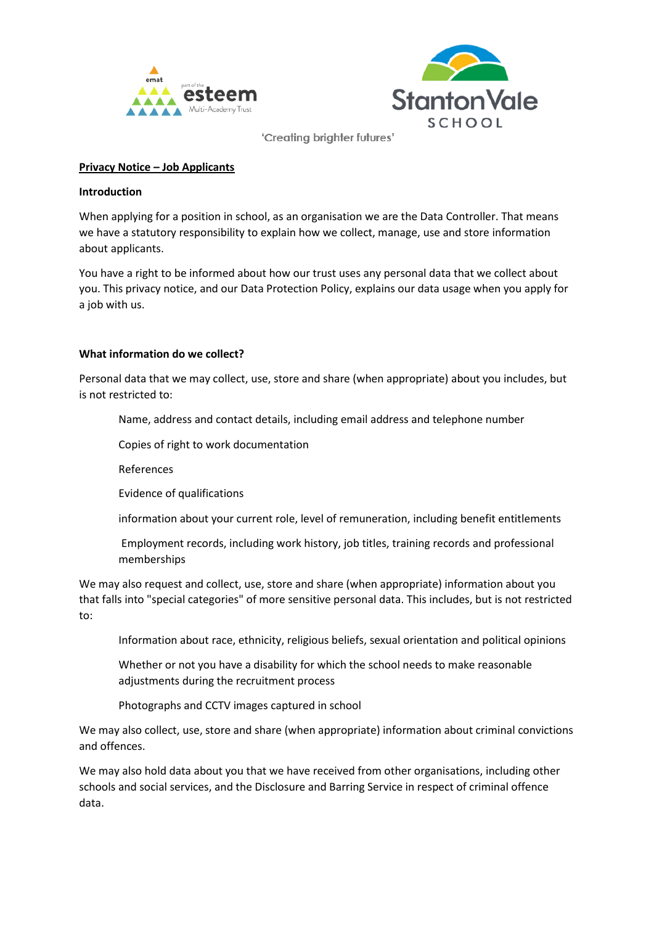



# **Privacy Notice – Job Applicants**

#### **Introduction**

When applying for a position in school, as an organisation we are the Data Controller. That means we have a statutory responsibility to explain how we collect, manage, use and store information about applicants.

You have a right to be informed about how our trust uses any personal data that we collect about you. This privacy notice, and our Data Protection Policy, explains our data usage when you apply for a job with us.

# **What information do we collect?**

Personal data that we may collect, use, store and share (when appropriate) about you includes, but is not restricted to:

Name, address and contact details, including email address and telephone number

Copies of right to work documentation

References

Evidence of qualifications

information about your current role, level of remuneration, including benefit entitlements

Employment records, including work history, job titles, training records and professional memberships

We may also request and collect, use, store and share (when appropriate) information about you that falls into "special categories" of more sensitive personal data. This includes, but is not restricted to:

Information about race, ethnicity, religious beliefs, sexual orientation and political opinions

Whether or not you have a disability for which the school needs to make reasonable adjustments during the recruitment process

Photographs and CCTV images captured in school

We may also collect, use, store and share (when appropriate) information about criminal convictions and offences.

We may also hold data about you that we have received from other organisations, including other schools and social services, and the Disclosure and Barring Service in respect of criminal offence data.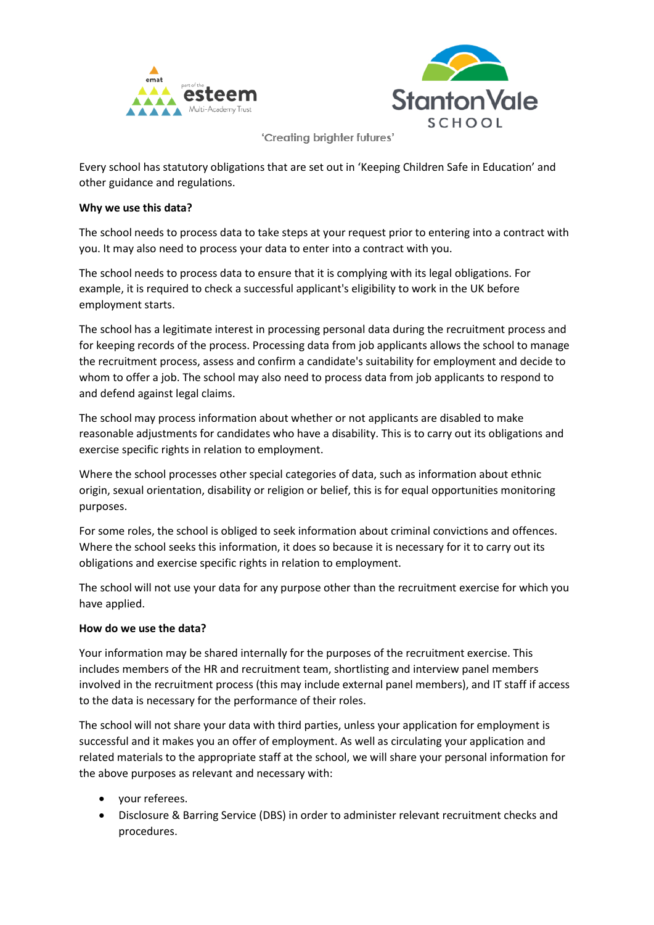



Every school has statutory obligations that are set out in 'Keeping Children Safe in Education' and other guidance and regulations.

### **Why we use this data?**

The school needs to process data to take steps at your request prior to entering into a contract with you. It may also need to process your data to enter into a contract with you.

The school needs to process data to ensure that it is complying with its legal obligations. For example, it is required to check a successful applicant's eligibility to work in the UK before employment starts.

The school has a legitimate interest in processing personal data during the recruitment process and for keeping records of the process. Processing data from job applicants allows the school to manage the recruitment process, assess and confirm a candidate's suitability for employment and decide to whom to offer a job. The school may also need to process data from job applicants to respond to and defend against legal claims.

The school may process information about whether or not applicants are disabled to make reasonable adjustments for candidates who have a disability. This is to carry out its obligations and exercise specific rights in relation to employment.

Where the school processes other special categories of data, such as information about ethnic origin, sexual orientation, disability or religion or belief, this is for equal opportunities monitoring purposes.

For some roles, the school is obliged to seek information about criminal convictions and offences. Where the school seeks this information, it does so because it is necessary for it to carry out its obligations and exercise specific rights in relation to employment.

The school will not use your data for any purpose other than the recruitment exercise for which you have applied.

# **How do we use the data?**

Your information may be shared internally for the purposes of the recruitment exercise. This includes members of the HR and recruitment team, shortlisting and interview panel members involved in the recruitment process (this may include external panel members), and IT staff if access to the data is necessary for the performance of their roles.

The school will not share your data with third parties, unless your application for employment is successful and it makes you an offer of employment. As well as circulating your application and related materials to the appropriate staff at the school, we will share your personal information for the above purposes as relevant and necessary with:

- your referees.
- Disclosure & Barring Service (DBS) in order to administer relevant recruitment checks and procedures.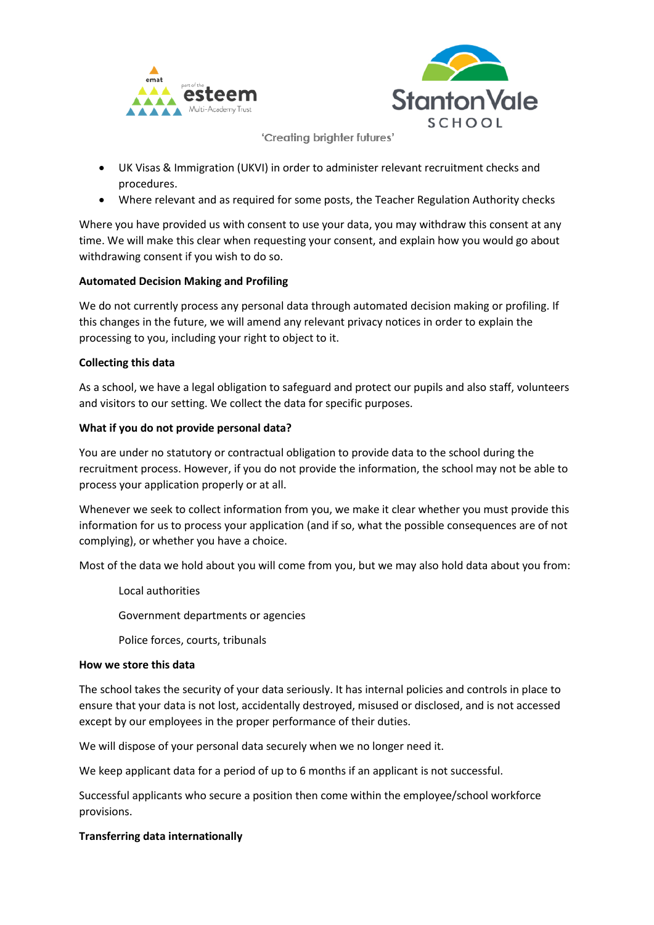



- UK Visas & Immigration (UKVI) in order to administer relevant recruitment checks and procedures.
- Where relevant and as required for some posts, the Teacher Regulation Authority checks

Where you have provided us with consent to use your data, you may withdraw this consent at any time. We will make this clear when requesting your consent, and explain how you would go about withdrawing consent if you wish to do so.

# **Automated Decision Making and Profiling**

We do not currently process any personal data through automated decision making or profiling. If this changes in the future, we will amend any relevant privacy notices in order to explain the processing to you, including your right to object to it.

# **Collecting this data**

As a school, we have a legal obligation to safeguard and protect our pupils and also staff, volunteers and visitors to our setting. We collect the data for specific purposes.

# **What if you do not provide personal data?**

You are under no statutory or contractual obligation to provide data to the school during the recruitment process. However, if you do not provide the information, the school may not be able to process your application properly or at all.

Whenever we seek to collect information from you, we make it clear whether you must provide this information for us to process your application (and if so, what the possible consequences are of not complying), or whether you have a choice.

Most of the data we hold about you will come from you, but we may also hold data about you from:

Local authorities Government departments or agencies Police forces, courts, tribunals

#### **How we store this data**

The school takes the security of your data seriously. It has internal policies and controls in place to ensure that your data is not lost, accidentally destroyed, misused or disclosed, and is not accessed except by our employees in the proper performance of their duties.

We will dispose of your personal data securely when we no longer need it.

We keep applicant data for a period of up to 6 months if an applicant is not successful.

Successful applicants who secure a position then come within the employee/school workforce provisions.

#### **Transferring data internationally**